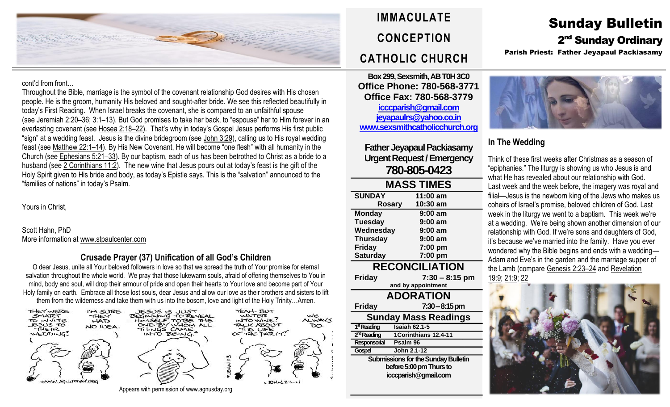

#### cont'd from front…

Throughout the Bible, marriage is the symbol of the covenant relationship God desires with His chosen people. He is the groom, humanity His beloved and sought-after bride. We see this reflected beautifully in today's First Reading. When Israel breaks the covenant, she is compared to an unfaithful spouse (see [Jeremiah](https://biblia.com/bible/rsvce/Jer%202.20%E2%80%9336) 2:20–36; [3:1](https://biblia.com/bible/rsvce/Jeremiah%203.1%E2%80%9313)–13). But God promises to take her back, to "espouse" her to Him forever in an everlasting covenant (see [Hosea](https://biblia.com/bible/rsvce/Hos%202.18%E2%80%9322) 2:18–22). That's why in today's Gospel Jesus performs His first public "sign" at a wedding feast. Jesus is the divine bridegroom (see John [3:29\)](https://biblia.com/bible/rsvce/John%203.29), calling us to His royal wedding feast (see [Matthew](https://biblia.com/bible/rsvce/Matt%2022.1%E2%80%9314) 22:1–14). By His New Covenant, He will become "one flesh" with all humanity in the Church (see [Ephesians](https://biblia.com/bible/rsvce/Eph%205.21%E2%80%9333) 5:21–33). By our baptism, each of us has been betrothed to Christ as a bride to a husband (see 2 [Corinthians](https://biblia.com/bible/rsvce/2%20Cor%2011.2) 11:2). The new wine that Jesus pours out at today's feast is the gift of the Holy Spirit given to His bride and body, as today's Epistle says. This is the "salvation" announced to the "families of nations" in today's Psalm.

Yours in Christ,

Scott Hahn, PhD More information a[t www.stpaulcenter.com](http://www.stpaulcenter.com/)

### **Crusade Prayer (37) Unification of all God's Children**

O dear Jesus, unite all Your beloved followers in love so that we spread the truth of Your promise for eternal salvation throughout the whole world. We pray that those lukewarm souls, afraid of offering themselves to You in mind, body and soul, will drop their armour of pride and open their hearts to Your love and become part of Your Holy family on earth. Embrace all those lost souls, dear Jesus and allow our love as their brothers and sisters to lift them from the wilderness and take them with us into the bosom, love and light of the Holy Trinity…Amen.



# **IMMACULATE CONCEPTION CATHOLIC CHURCH**

**Box 299, Sexsmith, AB T0H 3C0 Office Phone: 780-568-3771 Office Fax: 780-568-3779 [icccparish@gmail.com](mailto:icccparish@gmail.com) [jeyapaulrs@yahoo.co.in](mailto:jeyapaulrs@yahoo.co.in) [www.sexsmithcatholicchurch.org](http://www.sexsmithcatholicchurch.org/)**

**Father Jeyapaul Packiasamy Urgent Request/Emergency 780-805-0423**

| <b>MASS TIMES</b>                          |                        |  |  |  |
|--------------------------------------------|------------------------|--|--|--|
| <b>SUNDAY</b>                              | 11:00 am               |  |  |  |
| <b>Rosary</b>                              | 10:30 am               |  |  |  |
| <b>Monday</b>                              | $9:00$ am              |  |  |  |
| <b>Tuesday</b>                             | $9:00$ am              |  |  |  |
| Wednesday                                  | $9:00$ am              |  |  |  |
| <b>Thursday</b>                            | $9:00$ am              |  |  |  |
| <b>Friday</b>                              | 7:00 pm                |  |  |  |
| <b>Saturday</b>                            | 7:00 pm                |  |  |  |
| <b>RECONCILIATION</b>                      |                        |  |  |  |
| <b>Friday</b>                              | 7:30 – 8:15 pm         |  |  |  |
|                                            | and by appointment     |  |  |  |
| <b>ADORATION</b>                           |                        |  |  |  |
| <b>Friday</b>                              | $7:30-8:15 \text{ pm}$ |  |  |  |
| <b>Sunday Mass Readings</b>                |                        |  |  |  |
| 1 <sup>st</sup> Reading                    | <b>Isaiah 62.1-5</b>   |  |  |  |
| 2 <sup>nd</sup> Reading                    | 1Corinthians 12.4-11   |  |  |  |
| Responsorial                               | Psalm 96               |  |  |  |
| Gospel                                     | John 2.1-12            |  |  |  |
| <b>Submissions for the Sunday Bulletin</b> |                        |  |  |  |
| before 5:00 pm Thurs to                    |                        |  |  |  |
| icccparish@gmail.com                       |                        |  |  |  |

# Sunday Bulletin 2<sup>nd</sup> Sunday Ordinary Parish Priest: Father Jeyapaul Packiasamy



## **In The Wedding**

Think of these first weeks after Christmas as a season of "epiphanies." The liturgy is showing us who Jesus is and what He has revealed about our relationship with God. Last week and the week before, the imagery was royal and filial—Jesus is the newborn king of the Jews who makes us coheirs of Israel's promise, beloved children of God. Last week in the liturgy we went to a baptism. This week we're at a wedding. We're being shown another dimension of our relationship with God. If we're sons and daughters of God, it's because we've married into the family. Have you ever wondered why the Bible begins and ends with a wedding— Adam and Eve's in the garden and the marriage supper of the Lamb (compare [Genesis](https://biblia.com/bible/rsvce/Gen%202.23%E2%80%9324) 2:23–24 and [Revelation](https://biblia.com/bible/rsvce/Rev%2019.9) [19:9;](https://biblia.com/bible/rsvce/Rev%2019.9) [21:9;](https://biblia.com/bible/rsvce/Revelation%2021.9) [22](https://biblia.com/bible/rsvce/Revelation%2022.17)